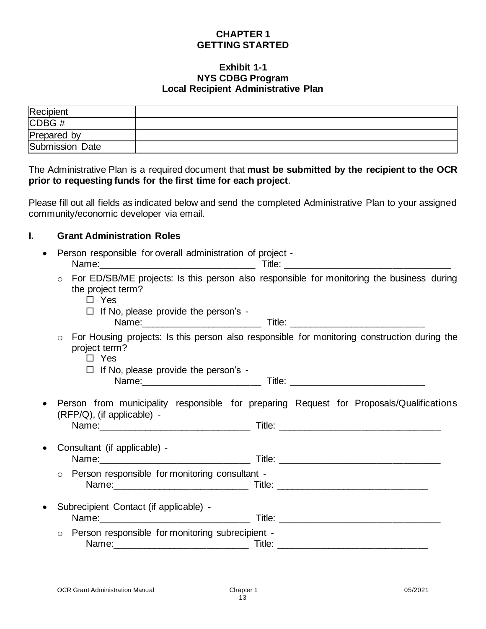# **CHAPTER 1 GETTING STARTED**

#### **Exhibit 1-1 NYS CDBG Program Local Recipient Administrative Plan**

| Recipient       |  |
|-----------------|--|
| CDBG#           |  |
| Prepared by     |  |
| Submission Date |  |

The Administrative Plan is a required document that **must be submitted by the recipient to the OCR prior to requesting funds for the first time for each project**.

Please fill out all fields as indicated below and send the completed Administrative Plan to your assigned community/economic developer via email.

# **I. Grant Administration Roles**

| Person responsible for overall administration of project - |                                                                                                                                                                                                                               |        |  |  |  |
|------------------------------------------------------------|-------------------------------------------------------------------------------------------------------------------------------------------------------------------------------------------------------------------------------|--------|--|--|--|
|                                                            | Name: will be a series of the contract of the contract of the contract of the contract of the contract of the contract of the contract of the contract of the contract of the contract of the contract of the contract of the | Title: |  |  |  |
|                                                            | ○ For ED/SB/ME projects: Is this person also responsible for monitoring the business during<br>the project term?<br>Yes                                                                                                       |        |  |  |  |
|                                                            | $\Box$ If No, please provide the person's -<br>Name:                                                                                                                                                                          | Title: |  |  |  |

- o For Housing projects: Is this person also responsible for monitoring construction during the project term?
	- □ Yes

 $\Box$  If No, please provide the person's -Name:\_\_\_\_\_\_\_\_\_\_\_\_\_\_\_\_\_\_\_\_\_\_\_ Title: \_\_\_\_\_\_\_\_\_\_\_\_\_\_\_\_\_\_\_\_\_\_\_\_\_\_

• Person from municipality responsible for preparing Request for Proposals/Qualifications (RFP/Q), (if applicable) - Name:\_\_\_\_\_\_\_\_\_\_\_\_\_\_\_\_\_\_\_\_\_\_\_\_\_\_\_\_\_ Title: \_\_\_\_\_\_\_\_\_\_\_\_\_\_\_\_\_\_\_\_\_\_\_\_\_\_\_\_\_\_\_

| • Consultant (if applicable) -                                                                                                                                                                                                 |        |  |
|--------------------------------------------------------------------------------------------------------------------------------------------------------------------------------------------------------------------------------|--------|--|
| Name:                                                                                                                                                                                                                          | ⊺itle: |  |
| man and a construction of a construction of the construction of the construction of the construction of the construction of the construction of the construction of the construction of the construction of the construction o |        |  |

- o Person responsible for monitoring consultant Name:\_\_\_\_\_\_\_\_\_\_\_\_\_\_\_\_\_\_\_\_\_\_\_\_\_\_ Title: \_\_\_\_\_\_\_\_\_\_\_\_\_\_\_\_\_\_\_\_\_\_\_\_\_\_\_\_\_
- Subrecipient Contact (if applicable) Name:\_\_\_\_\_\_\_\_\_\_\_\_\_\_\_\_\_\_\_\_\_\_\_\_\_\_\_\_\_ Title: \_\_\_\_\_\_\_\_\_\_\_\_\_\_\_\_\_\_\_\_\_\_\_\_\_\_\_\_\_\_\_ o Person responsible for monitoring subrecipient - Name: 2008. Title: 2008. Title: 2008. Title: 2008. Title: 2008. Title: 2008. Title: 2008. Title: 2008. Title: 2008. Title: 2008. Title: 2008. Title: 2008. Title: 2008. Title: 2008. Title: 2008. Title: 2008. Title: 2008. Ti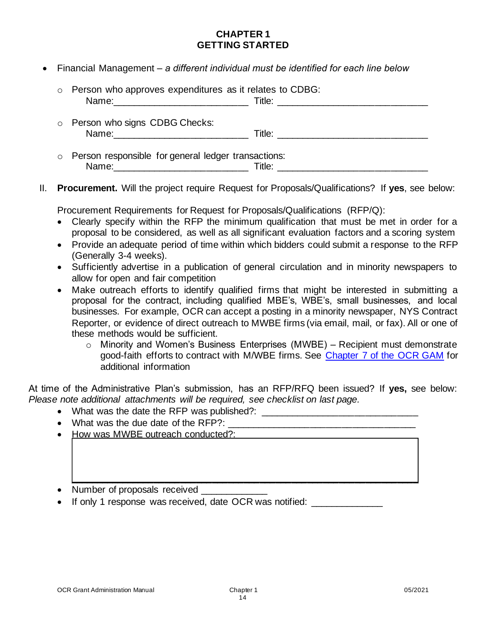# **CHAPTER 1 GETTING STARTED**

• Financial Management – *a different individual must be identified for each line below*

| $\circ$ Person who approves expenditures as it relates to CDBG: | Title: _____________________________ |
|-----------------------------------------------------------------|--------------------------------------|
| o Person who signs CDBG Checks:                                 |                                      |
| o Person responsible for general ledger transactions:<br>Name:  | Title:                               |

II. **Procurement.** Will the project require Request for Proposals/Qualifications? If **yes**, see below:

Procurement Requirements for Request for Proposals/Qualifications (RFP/Q):

- Clearly specify within the RFP the minimum qualification that must be met in order for a proposal to be considered, as well as all significant evaluation factors and a scoring system
- Provide an adequate period of time within which bidders could submit a response to the RFP (Generally 3-4 weeks).
- Sufficiently advertise in a publication of general circulation and in minority newspapers to allow for open and fair competition
- Make outreach efforts to identify qualified firms that might be interested in submitting a proposal for the contract, including qualified MBE's, WBE's, small businesses, and local businesses. For example, OCR can accept a posting in a minority newspaper, NYS Contract Reporter, or evidence of direct outreach to MWBE firms (via email, mail, or fax). All or one of these methods would be sufficient.
	- $\circ$  Minority and Women's Business Enterprises (MWBE) Recipient must demonstrate good-faith efforts to contract with M/WBE firms. See [Chapter 7 of the OCR GAM](https://hcr.ny.gov/system/files/documents/2019/11/cdbg-grant-administration-manual-chapter-7-other-federal-requirements.pdf) for additional information

At time of the Administrative Plan's submission, has an RFP/RFQ been issued? If **yes,** see below: *Please note additional attachments will be required, see checklist on last page.* 

- What was the date the RFP was published?: \_\_\_\_\_\_\_\_\_\_\_\_\_\_\_\_\_\_\_\_\_\_\_\_\_\_\_\_\_\_
- What was the due date of the RFP?:
- How was MWBE outreach conducted?:
- $\Box$ • Number of proposals received
- If only 1 response was received, date OCR was notified: \_\_\_\_\_\_\_\_\_\_\_\_\_\_\_\_\_\_\_\_\_\_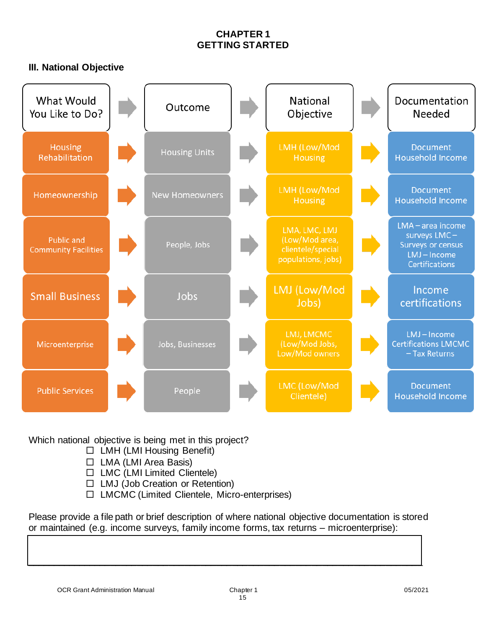# **CHAPTER 1 GETTING STARTED**

# **III. National Objective**

| What Would<br>You Like to Do?                    | Outcome               | National<br>Objective                                                      | Documentation<br>Needed                                                                                |  |
|--------------------------------------------------|-----------------------|----------------------------------------------------------------------------|--------------------------------------------------------------------------------------------------------|--|
| <b>Housing</b><br>Rehabilitation                 | <b>Housing Units</b>  | LMH (Low/Mod<br><b>Housing</b>                                             | <b>Document</b><br><b>Household Income</b>                                                             |  |
| Homeownership                                    | <b>New Homeowners</b> | LMH (Low/Mod<br><b>Housing</b>                                             | <b>Document</b><br><b>Household Income</b>                                                             |  |
| <b>Public and</b><br><b>Community Facilities</b> | People, Jobs          | LMA, LMC, LMJ<br>(Low/Mod area,<br>clientele/special<br>populations, jobs) | $LMA - area$ income<br>surveys LMC-<br><b>Surveys or census</b><br>LMJ-Income<br><b>Certifications</b> |  |
| <b>Small Business</b>                            | Jobs                  | LMJ (Low/Mod<br>Jobs)                                                      | Income<br>certifications                                                                               |  |
| Microenterprise                                  | Jobs, Businesses      | LMJ, LMCMC<br>(Low/Mod Jobs,<br>Low/Mod owners                             | LMJ-Income<br><b>Certifications LMCMC</b><br>- Tax Returns                                             |  |
| <b>Public Services</b>                           | People                | LMC (Low/Mod<br>Clientele)                                                 | <b>Document</b><br><b>Household Income</b>                                                             |  |

Which national objective is being met in this project?

- $\Box$  LMH (LMI Housing Benefit)
- $\Box$  LMA (LMI Area Basis)
- $\Box$  LMC (LMI Limited Clientele)
- □ LMJ (Job Creation or Retention)
- LMCMC (Limited Clientele, Micro-enterprises)

Please provide a file path or brief description of where national objective documentation is stored or maintained (e.g. income surveys, family income forms, tax returns – microenterprise):

\_\_\_\_\_\_\_\_\_\_\_\_\_\_\_\_\_\_\_\_\_\_\_\_\_\_\_\_\_\_\_\_\_\_\_\_\_\_\_\_\_\_\_\_\_\_\_\_\_\_\_\_\_\_\_\_\_\_\_\_\_\_\_\_\_\_\_\_\_\_\_\_\_\_\_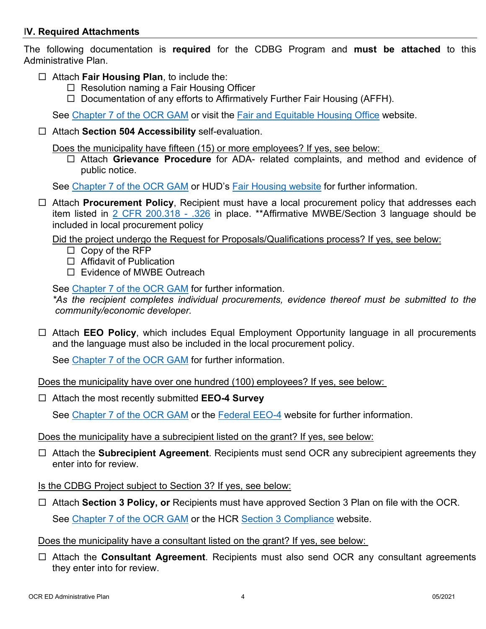### I**V. Required Attachments**

The following documentation is **required** for the CDBG Program and **must be attached** to this Administrative Plan.

- Attach **Fair Housing Plan**, to include the:
	- $\Box$  Resolution naming a Fair Housing Officer
	- $\Box$  Documentation of any efforts to Affirmatively Further Fair Housing (AFFH).

See [Chapter 7 of the OCR GAM](https://hcr.ny.gov/system/files/documents/2019/11/cdbg-grant-administration-manual-chapter-7-other-federal-requirements.pdf) or visit the [Fair and Equitable Housing Office](https://hcr.ny.gov/fair-and-equitable-housing-office) website.

Attach **Section 504 Accessibility** self-evaluation.

Does the municipality have fifteen (15) or more employees? If yes, see below:

 Attach **Grievance Procedure** for ADA- related complaints, and method and evidence of public notice.

See [Chapter 7 of the OCR GAM](https://hcr.ny.gov/system/files/documents/2019/11/cdbg-grant-administration-manual-chapter-7-other-federal-requirements.pdf) or HUD's **Fair Housing website** for further information.

 Attach **Procurement Policy**, Recipient must have a local procurement policy that addresses each item listed in [2 CFR 200.318 - .326](https://www.govregs.com/regulations/expand/title2_chapterII_part200_subpartD_subjgrp31_section200.318) in place. \*\*Affirmative MWBE/Section 3 language should be included in local procurement policy

Did the project undergo the Request for Proposals/Qualifications process? If yes, see below:

- $\Box$  Copy of the RFP
- □ Affidavit of Publication
- □ Evidence of MWBE Outreach

See [Chapter 7 of the OCR GAM](https://hcr.ny.gov/system/files/documents/2019/11/cdbg-grant-administration-manual-chapter-7-other-federal-requirements.pdf) for further information.

*\*As the recipient completes individual procurements, evidence thereof must be submitted to the community/economic developer.*

 Attach **EEO Policy**, which includes Equal Employment Opportunity language in all procurements and the language must also be included in the local procurement policy.

See [Chapter 7 of the OCR GAM](https://hcr.ny.gov/system/files/documents/2019/11/cdbg-grant-administration-manual-chapter-7-other-federal-requirements.pdf) for further information.

Does the municipality have over one hundred (100) employees? If yes, see below:

Attach the most recently submitted **EEO-4 Survey**

See [Chapter 7 of the OCR GAM](https://hcr.ny.gov/system/files/documents/2019/11/cdbg-grant-administration-manual-chapter-7-other-federal-requirements.pdf) or the [Federal EEO-4](https://eeocdata.org/) website for further information.

Does the municipality have a subrecipient listed on the grant? If yes, see below:

- Attach the **Subrecipient Agreement**. Recipients must send OCR any subrecipient agreements they enter into for review.
- Is the CDBG Project subject to Section 3? If yes, see below:
- □ Attach **Section 3 Policy, or** Recipients must have approved Section 3 Plan on file with the OCR.

See [Chapter 7 of the OCR GAM](https://hcr.ny.gov/system/files/documents/2019/11/cdbg-grant-administration-manual-chapter-7-other-federal-requirements.pdf) or the HCR [Section 3 Compliance](https://hcr.ny.gov/section-3-compliance) website.

### Does the municipality have a consultant listed on the grant? If yes, see below:

 Attach the **Consultant Agreement**. Recipients must also send OCR any consultant agreements they enter into for review.